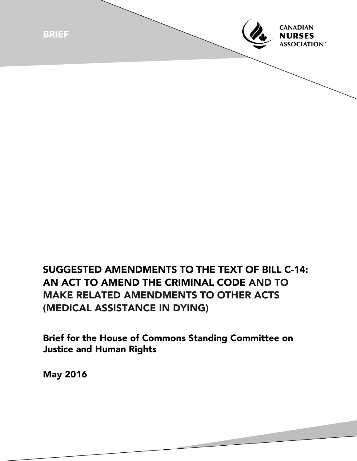

## SUGGESTED AMENDMENTS TO THE TEXT OF BILL C-14: AN ACT TO AMEND THE CRIMINAL CODE AND TO MAKE RELATED AMENDMENTS TO OTHER ACTS (MEDICAL ASSISTANCE IN DYING)

Brief for the House of Commons Standing Committee on Justice and Human Rights

May 2016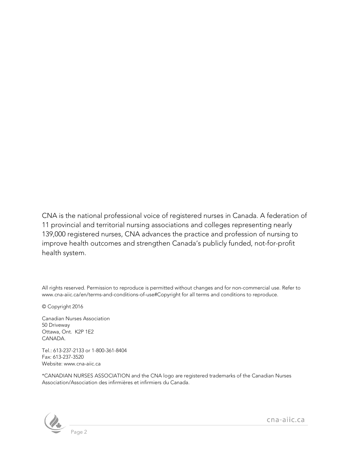CNA is the national professional voice of registered nurses in Canada. A federation of 11 provincial and territorial nursing associations and colleges representing nearly 139,000 registered nurses, CNA advances the practice and profession of nursing to improve health outcomes and strengthen Canada's publicly funded, not-for-profit health system.

All rights reserved. Permission to reproduce is permitted without changes and for non-commercial use. Refer to www.cna-aiic.ca/en/terms-and-conditions-of-use#Copyright for all terms and conditions to reproduce.

© Copyright 2016

Canadian Nurses Association 50 Driveway Ottawa, Ont. K2P 1E2 CANADA.

Tel.: 613-237-2133 or 1-800-361-8404 Fax: 613-237-3520 Website: www.cna-aiic.ca

\*CANADIAN NURSES ASSOCIATION and the CNA logo are registered trademarks of the Canadian Nurses Association/Association des infirmières et infirmiers du Canada.



cna-aiic.ca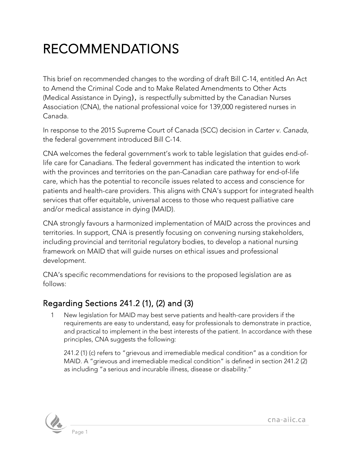## RECOMMENDATIONS

This brief on recommended changes to the wording of draft Bill C-14, entitled An Act to Amend the Criminal Code and to Make Related Amendments to Other Acts (Medical Assistance in Dying), is respectfully submitted by the Canadian Nurses Association (CNA), the national professional voice for 139,000 registered nurses in Canada.

In response to the 2015 Supreme Court of Canada (SCC) decision in *Carter v. Canada*, the federal government introduced Bill C-14.

CNA welcomes the federal government's work to table legislation that guides end-oflife care for Canadians. The federal government has indicated the intention to work with the provinces and territories on the pan-Canadian care pathway for end-of-life care, which has the potential to reconcile issues related to access and conscience for patients and health-care providers. This aligns with CNA's support for integrated health services that offer equitable, universal access to those who request palliative care and/or medical assistance in dying (MAID).

CNA strongly favours a harmonized implementation of MAID across the provinces and territories. In support, CNA is presently focusing on convening nursing stakeholders, including provincial and territorial regulatory bodies, to develop a national nursing framework on MAID that will guide nurses on ethical issues and professional development.

CNA's specific recommendations for revisions to the proposed legislation are as follows:

## Regarding Sections 241.2 (1), (2) and (3)

New legislation for MAID may best serve patients and health-care providers if the requirements are easy to understand, easy for professionals to demonstrate in practice, and practical to implement in the best interests of the patient. In accordance with these principles, CNA suggests the following:

241.2 (1) (c) refers to "grievous and irremediable medical condition" as a condition for MAID. A "grievous and irremediable medical condition" is defined in section 241.2 (2) as including "a serious and incurable illness, disease or disability."



cna-aiic.ca